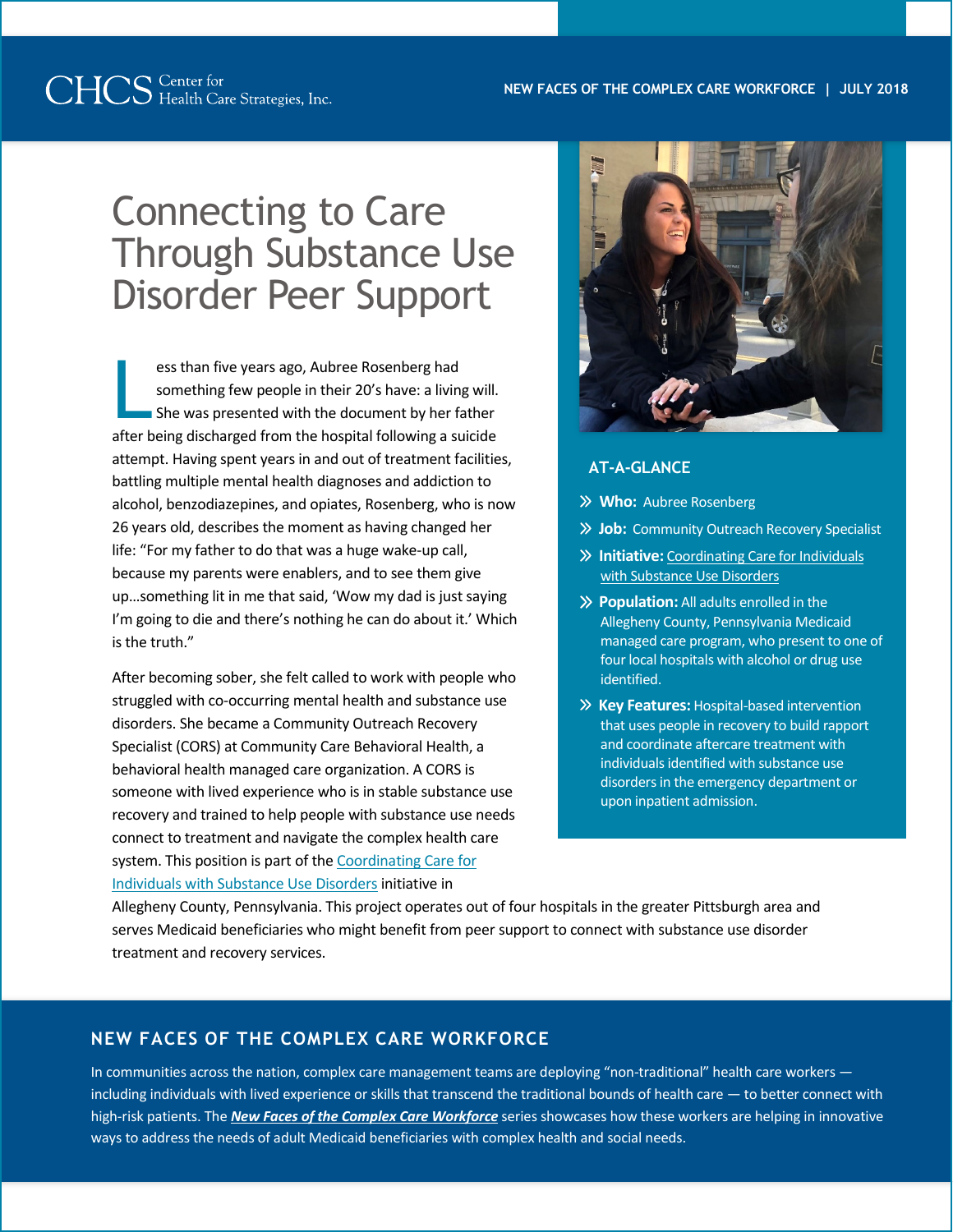# Connecting to Care Through Substance Use Disorder Peer Support

ess than five years ago, Aubree Rosenberg had something few people in their 20's have: a living will. She was presented with the document by her father ess than five years ago, Aubree Rosenberg had<br>something few people in their 20's have: a living will.<br>She was presented with the document by her father<br>after being discharged from the hospital following a suicide attempt. Having spent years in and out of treatment facilities, battling multiple mental health diagnoses and addiction to alcohol, benzodiazepines, and opiates, Rosenberg, who is now 26 years old, describes the moment as having changed her life: "For my father to do that was a huge wake-up call, because my parents were enablers, and to see them give up…something lit in me that said, 'Wow my dad is just saying I'm going to die and there's nothing he can do about it.' Which is the truth."

After becoming sober, she felt called to work with people who struggled with co-occurring mental health and substance use disorders. She became a Community Outreach Recovery Specialist (CORS) at Community Care Behavioral Health, a behavioral health managed care organization. A CORS is someone with lived experience who is in stable substance use recovery and trained to help people with substance use needs connect to treatment and navigate the complex health care system. This position is part of th[e Coordinating Care for](https://www.chcs.org/project/coordinating-care-individuals-substance-use-disorders/)  [Individuals with Substance Use Disorders](https://www.chcs.org/project/coordinating-care-individuals-substance-use-disorders/) initiative in



## **AT-A-GLANCE**

- **Who:** Aubree Rosenberg
- **Job:** Community Outreach Recovery Specialist
- **Initiative:** [Coordinating Care for Individuals](https://www.chcs.org/project/coordinating-care-individuals-substance-use-disorders/)  [with Substance Use Disorders](https://www.chcs.org/project/coordinating-care-individuals-substance-use-disorders/)
- **Population:** All adults enrolled in the Allegheny County, Pennsylvania Medicaid managed care program, who present to one of four local hospitals with alcohol or drug use identified.
- **Key Features:** Hospital-based intervention that uses people in recovery to build rapport and coordinate aftercare treatment with individuals identified with substance use disorders in the emergency department or upon inpatient admission.

Allegheny County, Pennsylvania. This project operates out of four hospitals in the greater Pittsburgh area and serves Medicaid beneficiaries who might benefit from peer support to connect with substance use disorder treatment and recovery services.

## **NEW FACES OF THE COMPLEX CARE WORKFORCE**

In communities across the nation, complex care management teams are deploying "non-traditional" health care workers including individuals with lived experience or skills that transcend the traditional bounds of health care — to better connect with high-risk patients. The *[New Faces of the Complex Care Workforce](https://www.chcs.org/resource/new-faces-of-the-complex-care-workforce-reflecting-and-connecting-with-patients/)* series showcases how these workers are helping in innovative ways to address the needs of adult Medicaid beneficiaries with complex health and social needs.